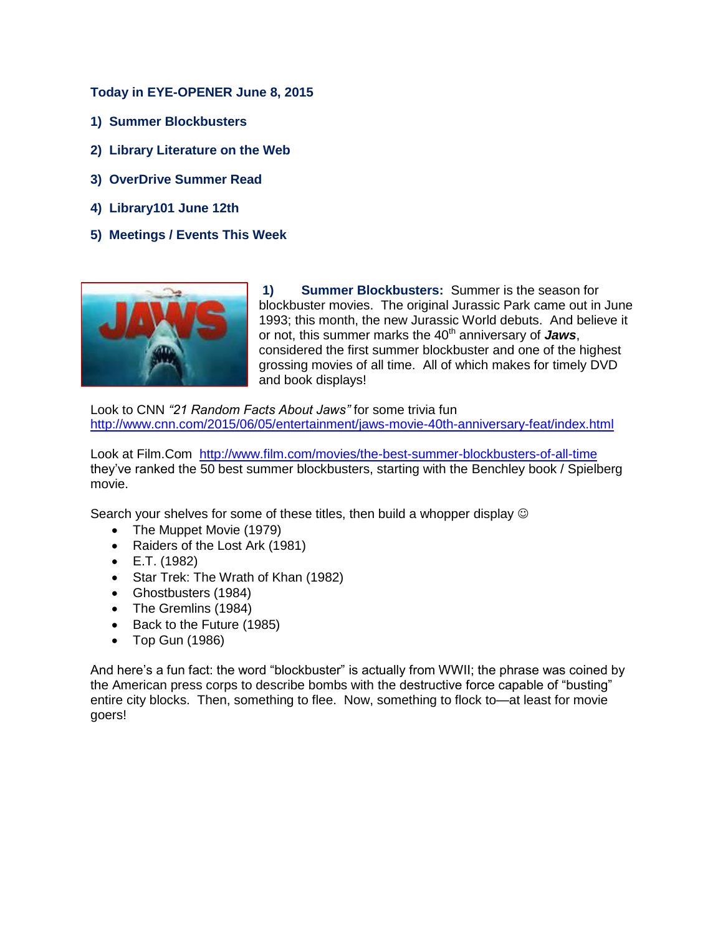## **Today in EYE-OPENER June 8, 2015**

- **1) Summer Blockbusters**
- **2) Library Literature on the Web**
- **3) OverDrive Summer Read**
- **4) Library101 June 12th**
- **5) Meetings / Events This Week**



**1) Summer Blockbusters:** Summer is the season for blockbuster movies. The original Jurassic Park came out in June 1993; this month, the new Jurassic World debuts. And believe it or not, this summer marks the 40<sup>th</sup> anniversary of **Jaws**, considered the first summer blockbuster and one of the highest grossing movies of all time. All of which makes for timely DVD and book displays!

Look to CNN *"21 Random Facts About Jaws"* for some trivia fun <http://www.cnn.com/2015/06/05/entertainment/jaws-movie-40th-anniversary-feat/index.html>

Look at Film.Com <http://www.film.com/movies/the-best-summer-blockbusters-of-all-time> they've ranked the 50 best summer blockbusters, starting with the Benchley book / Spielberg movie.

Search your shelves for some of these titles, then build a whopper display  $\odot$ 

- The Muppet Movie (1979)
- Raiders of the Lost Ark (1981)
- $\bullet$  E.T. (1982)
- Star Trek: The Wrath of Khan (1982)
- Ghostbusters (1984)
- The Gremlins (1984)
- Back to the Future (1985)
- Top Gun (1986)

And here's a fun fact: the word "blockbuster" is actually from WWII; the phrase was coined by the American press corps to describe bombs with the destructive force capable of "busting" entire city blocks. Then, something to flee. Now, something to flock to—at least for movie goers!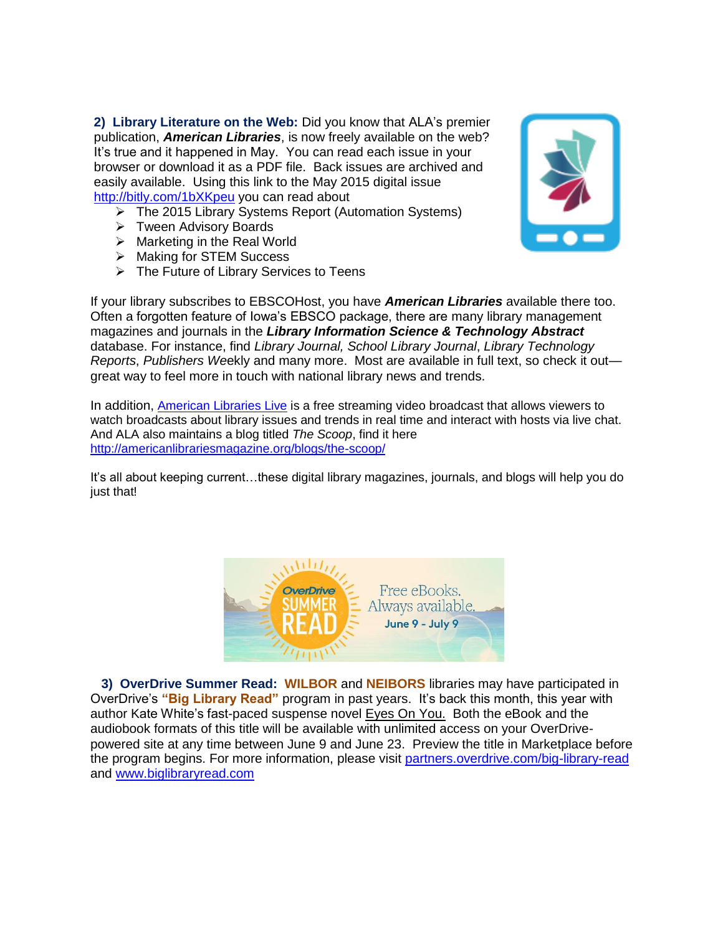**2) Library Literature on the Web:** Did you know that ALA's premier publication, *American Libraries*, is now freely available on the web? It's true and it happened in May. You can read each issue in your browser or download it as a PDF file. Back issues are archived and easily available. Using this link to the May 2015 digital issue <http://bitly.com/1bXKpeu> you can read about

- The 2015 Library Systems Report (Automation Systems)
- **► Tween Advisory Boards**
- $\triangleright$  Marketing in the Real World
- $\triangleright$  Making for STEM Success
- $\triangleright$  The Future of Library Services to Teens

If your library subscribes to EBSCOHost, you have *American Libraries* available there too. Often a forgotten feature of Iowa's EBSCO package, there are many library management magazines and journals in the *Library Information Science & Technology Abstract* database. For instance, find *Library Journal, School Library Journal*, *Library Technology Reports*, *Publishers We*ekly and many more. Most are available in full text, so check it out great way to feel more in touch with national library news and trends.

In addition, [American Libraries Live](http://americanlibrarieslive.org/) is a free streaming video broadcast that allows viewers to watch broadcasts about library issues and trends in real time and interact with hosts via live chat. And ALA also maintains a blog titled *The Scoop*, find it here <http://americanlibrariesmagazine.org/blogs/the-scoop/>

It's all about keeping current…these digital library magazines, journals, and blogs will help you do just that!



 **3) OverDrive Summer Read: WILBOR** and **NEIBORS** libraries may have participated in OverDrive's **"Big Library Read"** program in past years. It's back this month, this year with author Kate White's fast-paced suspense novel Eyes On You. Both the eBook and the audiobook formats of this title will be available with unlimited access on your OverDrivepowered site at any time between June 9 and June 23. Preview the title in Marketplace before the program begins. For more information, please visit [partners.overdrive.com/big-library-read](http://www2.overdrive.com/e/28502/big-library-read/37jb7j/476578503) and [www.biglibraryread.com](http://www2.overdrive.com/e/28502/2015-05-20/37jb7b/476578503)

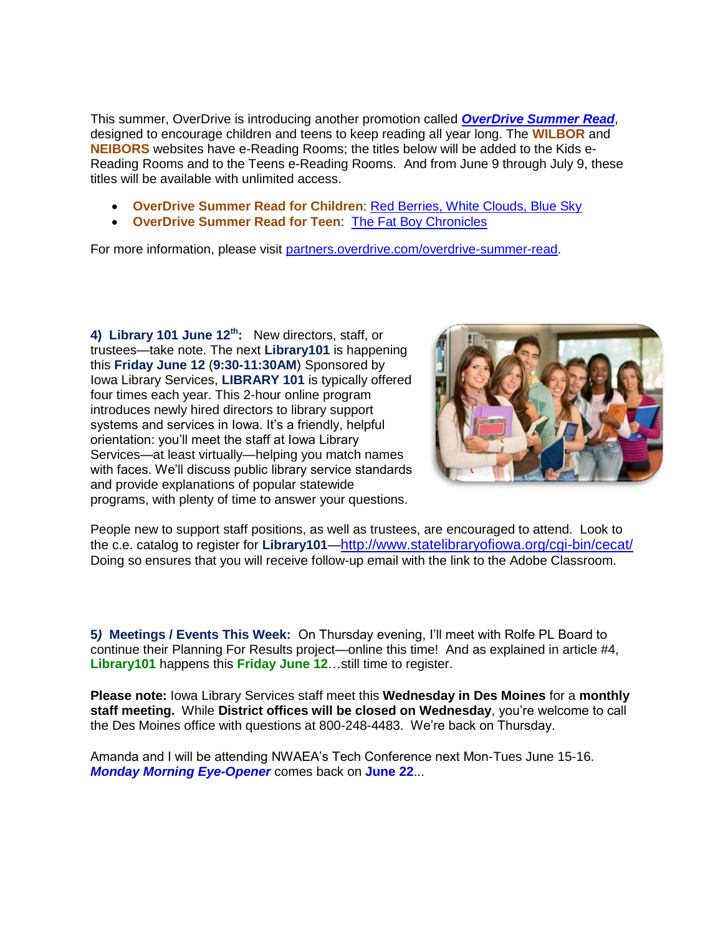This summer, OverDrive is introducing another promotion called *[OverDrive Summer Read](http://www2.overdrive.com/e/28502/overdrive-summer-read/37jb7l/476578503)*, designed to encourage children and teens to keep reading all year long. The **WILBOR** and **NEIBORS** websites have e-Reading Rooms; the titles below will be added to the Kids e-Reading Rooms and to the Teens e-Reading Rooms. And from June 9 through July 9, these titles will be available with unlimited access.

- **OverDrive Summer Read for Children**: [Red Berries, White Clouds, Blue Sky](http://www2.overdrive.com/e/28502/-berries-white-clouds-blue-sky/37jb7n/476578503)
- **OverDrive Summer Read for Teen**: [The Fat Boy Chronicles](http://www2.overdrive.com/e/28502/1372875-the-fat-boy-chronicles/37jb7q/476578503)

For more information, please visit [partners.overdrive.com/overdrive-summer-read.](partners.overdrive.com/overdrive-summer-read)

**4) Library 101 June 12th:** New directors, staff, or trustees—take note. The next **Library101** is happening this **Friday June 12** (**9:30-11:30AM**) Sponsored by Iowa Library Services, **LIBRARY 101** is typically offered four times each year. This 2-hour online program introduces newly hired directors to library support systems and services in Iowa. It's a friendly, helpful orientation: you'll meet the staff at Iowa Library Services—at least virtually—helping you match names with faces. We'll discuss public library service standards and provide explanations of popular statewide programs, with plenty of time to answer your questions.



People new to support staff positions, as well as trustees, are encouraged to attend. Look to the c.e. catalog to register for **Library101**—<http://www.statelibraryofiowa.org/cgi-bin/cecat/> Doing so ensures that you will receive follow-up email with the link to the Adobe Classroom.

**5***)* **Meetings / Events This Week:** On Thursday evening, I'll meet with Rolfe PL Board to continue their Planning For Results project—online this time! And as explained in article #4, **Library101** happens this **Friday June 12**…still time to register.

**Please note:** Iowa Library Services staff meet this **Wednesday in Des Moines** for a **monthly staff meeting.** While **District offices will be closed on Wednesday**, you're welcome to call the Des Moines office with questions at 800-248-4483. We're back on Thursday.

Amanda and I will be attending NWAEA's Tech Conference next Mon-Tues June 15-16. *Monday Morning Eye-Opener* comes back on **June 22**...